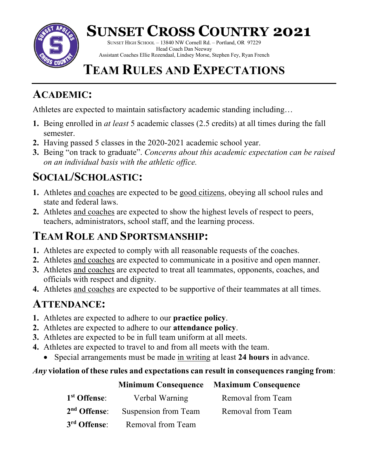

## **SUNSET CROSS COUNTRY 2021**

SUNSET HIGH SCHOOL – 13840 NW Cornell Rd. – Portland, OR 97229 Head Coach Dan Neeway Assistant Coaches Ellie Rozendaal, Lindsey Morse, Stephen Fey, Ryan French

## **TEAM RULES AND EXPECTATIONS**

### **ACADEMIC:**

Athletes are expected to maintain satisfactory academic standing including…

- **1.** Being enrolled in *at least* 5 academic classes (2.5 credits) at all times during the fall semester.
- **2.** Having passed 5 classes in the 2020-2021 academic school year.
- **3.** Being "on track to graduate". *Concerns about this academic expectation can be raised on an individual basis with the athletic office.*

## **SOCIAL/SCHOLASTIC:**

- **1.** Athletes and coaches are expected to be good citizens, obeying all school rules and state and federal laws.
- **2.** Athletes and coaches are expected to show the highest levels of respect to peers, teachers, administrators, school staff, and the learning process.

## **TEAM ROLE AND SPORTSMANSHIP:**

- **1.** Athletes are expected to comply with all reasonable requests of the coaches.
- **2.** Athletes and coaches are expected to communicate in a positive and open manner.
- **3.** Athletes and coaches are expected to treat all teammates, opponents, coaches, and officials with respect and dignity.
- **4.** Athletes and coaches are expected to be supportive of their teammates at all times.

## **ATTENDANCE:**

- **1.** Athletes are expected to adhere to our **practice policy**.
- **2.** Athletes are expected to adhere to our **attendance policy**.
- **3.** Athletes are expected to be in full team uniform at all meets.
- **4.** Athletes are expected to travel to and from all meets with the team.
	- Special arrangements must be made in writing at least **24 hours** in advance.

#### *Any* **violation of these rules and expectations can result in consequences ranging from**:

#### **Minimum Consequence Maximum Consequence**

| 1 <sup>st</sup> Offense: | Verbal Warning                                | Removal from Team |
|--------------------------|-----------------------------------------------|-------------------|
|                          | 2 <sup>nd</sup> Offense: Suspension from Team | Removal from Team |
| 3 <sup>rd</sup> Offense: | Removal from Team                             |                   |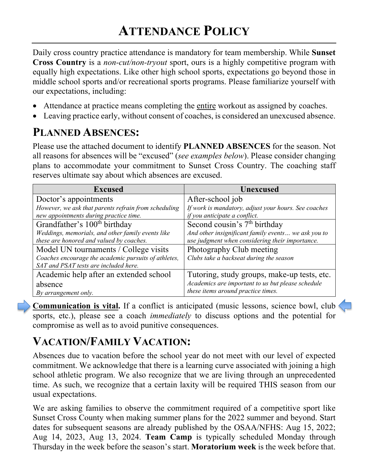Daily cross country practice attendance is mandatory for team membership. While **Sunset Cross Country** is a *non-cut/non-tryout* sport, ours is a highly competitive program with equally high expectations. Like other high school sports, expectations go beyond those in middle school sports and/or recreational sports programs. Please familiarize yourself with our expectations, including:

- Attendance at practice means completing the entire workout as assigned by coaches.
- Leaving practice early, without consent of coaches, is considered an unexcused absence.

### **PLANNED ABSENCES:**

Please use the attached document to identify **PLANNED ABSENCES** for the season. Not all reasons for absences will be "excused" (*see examples below*). Please consider changing plans to accommodate your commitment to Sunset Cross Country. The coaching staff reserves ultimate say about which absences are excused.

| <b>Excused</b>                                       | <b>Unexcused</b>                                     |  |
|------------------------------------------------------|------------------------------------------------------|--|
| Doctor's appointments                                | After-school job                                     |  |
| However, we ask that parents refrain from scheduling | If work is mandatory, adjust your hours. See coaches |  |
| new appointments during practice time.               | if you anticipate a conflict.                        |  |
| Grandfather's 100 <sup>th</sup> birthday             | Second cousin's 7 <sup>th</sup> birthday             |  |
| Weddings, memorials, and other family events like    | And other insignificant family events we ask you to  |  |
| these are honored and valued by coaches.             | use judgment when considering their importance.      |  |
| Model UN tournaments / College visits                | Photography Club meeting                             |  |
| Coaches encourage the academic pursuits of athletes, | Clubs take a backseat during the season              |  |
| SAT and PSAT tests are included here.                |                                                      |  |
| Academic help after an extended school               | Tutoring, study groups, make-up tests, etc.          |  |
| absence                                              | Academics are important to us but please schedule    |  |
| By arrangement only.                                 | these items around practice times.                   |  |

**Communication is vital.** If a conflict is anticipated (music lessons, science bowl, club sports, etc.), please see a coach *immediately* to discuss options and the potential for compromise as well as to avoid punitive consequences.

## **VACATION/FAMILY VACATION:**

Absences due to vacation before the school year do not meet with our level of expected commitment. We acknowledge that there is a learning curve associated with joining a high school athletic program. We also recognize that we are living through an unprecedented time. As such, we recognize that a certain laxity will be required THIS season from our usual expectations.

We are asking families to observe the commitment required of a competitive sport like Sunset Cross County when making summer plans for the 2022 summer and beyond. Start dates for subsequent seasons are already published by the OSAA/NFHS: Aug 15, 2022; Aug 14, 2023, Aug 13, 2024. **Team Camp** is typically scheduled Monday through Thursday in the week before the season's start. **Moratorium week** is the week before that.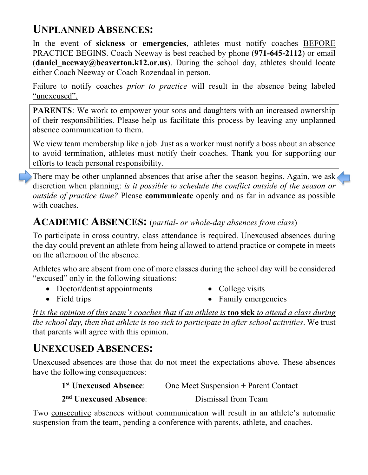### **UNPLANNED ABSENCES:**

In the event of **sickness** or **emergencies**, athletes must notify coaches BEFORE PRACTICE BEGINS. Coach Neeway is best reached by phone (**971-645-2112**) or email (**daniel neeway@beaverton.k12.or.us**). During the school day, athletes should locate either Coach Neeway or Coach Rozendaal in person.

Failure to notify coaches *prior to practice* will result in the absence being labeled "unexcused".

**PARENTS**: We work to empower your sons and daughters with an increased ownership of their responsibilities. Please help us facilitate this process by leaving any unplanned absence communication to them.

We view team membership like a job. Just as a worker must notify a boss about an absence to avoid termination, athletes must notify their coaches. Thank you for supporting our efforts to teach personal responsibility.

There may be other unplanned absences that arise after the season begins. Again, we ask discretion when planning: *is it possible to schedule the conflict outside of the season or outside of practice time?* Please **communicate** openly and as far in advance as possible with coaches.

#### **ACADEMIC ABSENCES:** (*partial- or whole-day absences from class*)

To participate in cross country, class attendance is required. Unexcused absences during the day could prevent an athlete from being allowed to attend practice or compete in meets on the afternoon of the absence.

Athletes who are absent from one of more classes during the school day will be considered "excused" only in the following situations:

• Doctor/dentist appointments

• College visits

• Field trips

• Family emergencies

*It is the opinion of this team's coaches that if an athlete is* **too sick** *to attend a class during the school day, then that athlete is too sick to participate in after school activities.* We trust that parents will agree with this opinion.

### **UNEXCUSED ABSENCES:**

Unexcused absences are those that do not meet the expectations above. These absences have the following consequences:

| 1 <sup>st</sup> Unexcused Absence: | One Meet Suspension + Parent Contact |
|------------------------------------|--------------------------------------|
| 2 <sup>nd</sup> Unexcused Absence: | Dismissal from Team                  |

Two consecutive absences without communication will result in an athlete's automatic suspension from the team, pending a conference with parents, athlete, and coaches.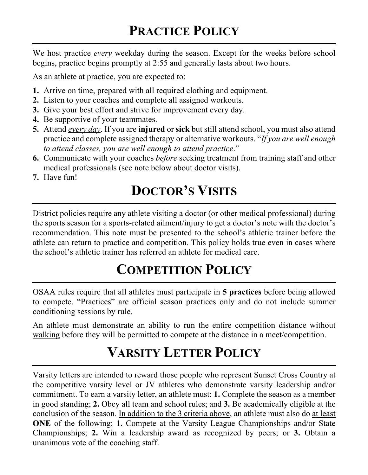We host practice *every* weekday during the season. Except for the weeks before school begins, practice begins promptly at 2:55 and generally lasts about two hours.

As an athlete at practice, you are expected to:

- **1.** Arrive on time, prepared with all required clothing and equipment.
- **2.** Listen to your coaches and complete all assigned workouts.
- **3.** Give your best effort and strive for improvement every day.
- **4.** Be supportive of your teammates.
- **5.** Attend *every day*. If you are **injured** or **sick** but still attend school, you must also attend practice and complete assigned therapy or alternative workouts. "*If you are well enough to attend classes, you are well enough to attend practice*."
- **6.** Communicate with your coaches *before* seeking treatment from training staff and other medical professionals (see note below about doctor visits).
- **7.** Have fun!

# **DOCTOR'S VISITS**

District policies require any athlete visiting a doctor (or other medical professional) during the sports season for a sports-related ailment/injury to get a doctor's note with the doctor's recommendation. This note must be presented to the school's athletic trainer before the athlete can return to practice and competition. This policy holds true even in cases where the school's athletic trainer has referred an athlete for medical care.

## **COMPETITION POLICY**

OSAA rules require that all athletes must participate in **5 practices** before being allowed to compete. "Practices" are official season practices only and do not include summer conditioning sessions by rule.

An athlete must demonstrate an ability to run the entire competition distance without walking before they will be permitted to compete at the distance in a meet/competition.

## **VARSITY LETTER POLICY**

Varsity letters are intended to reward those people who represent Sunset Cross Country at the competitive varsity level or JV athletes who demonstrate varsity leadership and/or commitment. To earn a varsity letter, an athlete must: **1.** Complete the season as a member in good standing; **2.** Obey all team and school rules; and **3.** Be academically eligible at the conclusion of the season. In addition to the 3 criteria above, an athlete must also do at least **ONE** of the following: **1.** Compete at the Varsity League Championships and/or State Championships; **2.** Win a leadership award as recognized by peers; or **3.** Obtain a unanimous vote of the coaching staff.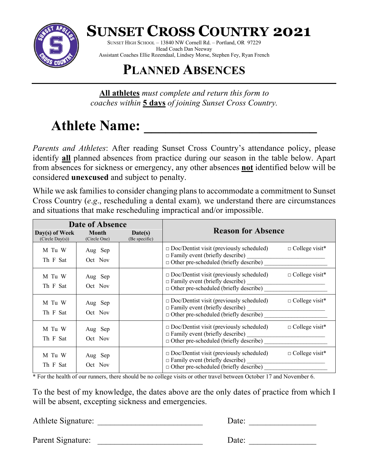

**SUNSET CROSS COUNTRY 2021**

SUNSET HIGH SCHOOL – 13840 NW Cornell Rd. – Portland, OR 97229 Head Coach Dan Neeway Assistant Coaches Ellie Rozendaal, Lindsey Morse, Stephen Fey, Ryan French

## **PLANNED ABSENCES**

**All athletes** *must complete and return this form to coaches within* **5 days** *of joining Sunset Cross Country.*

# Athlete Name: <u>\_\_\_\_\_\_\_\_\_\_\_\_\_\_</u>

*Parents and Athletes*: After reading Sunset Cross Country's attendance policy, please identify **all** planned absences from practice during our season in the table below. Apart from absences for sickness or emergency, any other absences **not** identified below will be considered **unexcused** and subject to penalty.

While we ask families to consider changing plans to accommodate a commitment to Sunset Cross Country (*e*.*g*., rescheduling a dental exam)*,* we understand there are circumstances and situations that make rescheduling impractical and/or impossible.

| Date of Absence                   |                              |                          |                                                                                                                                               |                       |
|-----------------------------------|------------------------------|--------------------------|-----------------------------------------------------------------------------------------------------------------------------------------------|-----------------------|
| Day(s) of Week<br>(Circle Day(s)) | <b>Month</b><br>(Circle One) | Date(s)<br>(Be specific) | <b>Reason for Absence</b>                                                                                                                     |                       |
| M Tu W<br>Th F Sat                | Aug Sep<br>Oct Nov           |                          | $\square$ Doc/Dentist visit (previously scheduled)<br>$\Box$ Family event (briefly describe)<br>$\Box$ Other pre-scheduled (briefly describe) | $\Box$ College visit* |
| M Tu W<br>Th F Sat                | Aug Sep<br>Oct Nov           |                          | $\Box$ Doc/Dentist visit (previously scheduled)<br>$\Box$ Family event (briefly describe)<br>$\Box$ Other pre-scheduled (briefly describe)    | $\Box$ College visit* |
| M Tu W<br>Th F Sat                | Aug Sep<br>Oct Nov           |                          | $\Box$ Doc/Dentist visit (previously scheduled)<br>$\Box$ Family event (briefly describe)<br>$\Box$ Other pre-scheduled (briefly describe)    | $\Box$ College visit* |
| M Tu W<br>Th F Sat                | Aug Sep<br>Oct Nov           |                          | $\Box$ Doc/Dentist visit (previously scheduled)<br>$\Box$ Family event (briefly describe)<br>$\Box$ Other pre-scheduled (briefly describe)    | $\Box$ College visit* |
| M Tu W<br>Th F Sat                | Aug Sep<br>Oct Nov           |                          | $\Box$ Doc/Dentist visit (previously scheduled)<br>$\Box$ Family event (briefly describe)<br>$\Box$ Other pre-scheduled (briefly describe)    | $\Box$ College visit* |

\* For the health of our runners, there should be no college visits or other travel between October 17 and November 6.

To the best of my knowledge, the dates above are the only dates of practice from which I will be absent, excepting sickness and emergencies.

Athlete Signature: \_\_\_\_\_\_\_\_\_\_\_\_\_\_\_\_\_\_\_\_\_\_\_\_\_ Date: \_\_\_\_\_\_\_\_\_\_\_\_\_\_\_\_

Parent Signature: \_\_\_\_\_\_\_\_\_\_\_\_\_\_\_\_\_\_\_\_\_\_\_\_\_ Date: \_\_\_\_\_\_\_\_\_\_\_\_\_\_\_\_